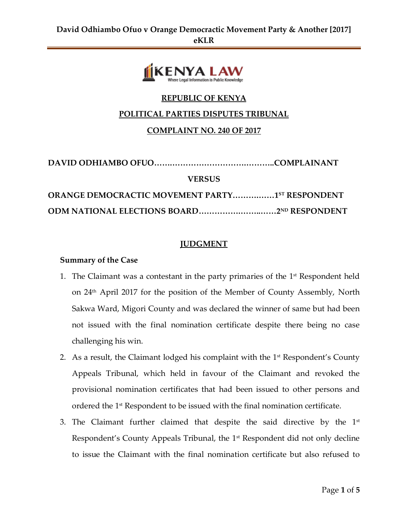

# **REPUBLIC OF KENYA**

## **POLITICAL PARTIES DISPUTES TRIBUNAL**

## **COMPLAINT NO. 240 OF 2017**

| <b>VERSUS</b>                                          |  |
|--------------------------------------------------------|--|
| <b>ORANGE DEMOCRACTIC MOVEMENT PARTY15T RESPONDENT</b> |  |
|                                                        |  |

### **JUDGMENT**

### **Summary of the Case**

- 1. The Claimant was a contestant in the party primaries of the 1<sup>st</sup> Respondent held on 24 th April 2017 for the position of the Member of County Assembly, North Sakwa Ward, Migori County and was declared the winner of same but had been not issued with the final nomination certificate despite there being no case challenging his win.
- 2. As a result, the Claimant lodged his complaint with the  $1<sup>st</sup>$  Respondent's County Appeals Tribunal, which held in favour of the Claimant and revoked the provisional nomination certificates that had been issued to other persons and ordered the 1st Respondent to be issued with the final nomination certificate.
- 3. The Claimant further claimed that despite the said directive by the  $1$ st Respondent's County Appeals Tribunal, the 1st Respondent did not only decline to issue the Claimant with the final nomination certificate but also refused to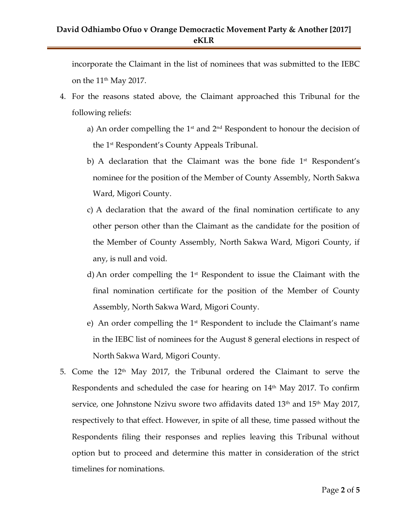# **David Odhiambo Ofuo v Orange Democractic Movement Party & Another [2017] eKLR**

incorporate the Claimant in the list of nominees that was submitted to the IEBC on the  $11<sup>th</sup>$  May 2017.

- 4. For the reasons stated above, the Claimant approached this Tribunal for the following reliefs:
	- a) An order compelling the  $1<sup>st</sup>$  and  $2<sup>nd</sup>$  Respondent to honour the decision of the 1 st Respondent's County Appeals Tribunal.
	- b) A declaration that the Claimant was the bone fide 1<sup>st</sup> Respondent's nominee for the position of the Member of County Assembly, North Sakwa Ward, Migori County.
	- c) A declaration that the award of the final nomination certificate to any other person other than the Claimant as the candidate for the position of the Member of County Assembly, North Sakwa Ward, Migori County, if any, is null and void.
	- d) An order compelling the 1<sup>st</sup> Respondent to issue the Claimant with the final nomination certificate for the position of the Member of County Assembly, North Sakwa Ward, Migori County.
	- e) An order compelling the  $1<sup>st</sup>$  Respondent to include the Claimant's name in the IEBC list of nominees for the August 8 general elections in respect of North Sakwa Ward, Migori County.
- 5. Come the  $12<sup>th</sup>$  May 2017, the Tribunal ordered the Claimant to serve the Respondents and scheduled the case for hearing on 14<sup>th</sup> May 2017. To confirm service, one Johnstone Nzivu swore two affidavits dated  $13<sup>th</sup>$  and  $15<sup>th</sup>$  May 2017, respectively to that effect. However, in spite of all these, time passed without the Respondents filing their responses and replies leaving this Tribunal without option but to proceed and determine this matter in consideration of the strict timelines for nominations.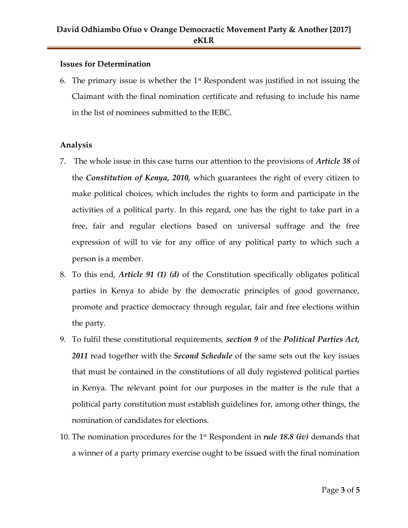### **Issues for Determination**

6. The primary issue is whether the  $1<sup>st</sup>$  Respondent was justified in not issuing the Claimant with the final nomination certificate and refusing to include his name in the list of nominees submitted to the IEBC.

## **Analysis**

- 7. The whole issue in this case turns our attention to the provisions of *Article 38* of the *Constitution of Kenya, 2010,* which guarantees the right of every citizen to make political choices, which includes the rights to form and participate in the activities of a political party. In this regard, one has the right to take part in a free, fair and regular elections based on universal suffrage and the free expression of will to vie for any office of any political party to which such a person is a member.
- 8. To this end, *Article 91 (1) (d)* of the Constitution specifically obligates political parties in Kenya to abide by the democratic principles of good governance, promote and practice democracy through regular, fair and free elections within the party.
- 9. To fulfil these constitutional requirements, *section 9* of the *Political Parties Act, 2011* read together with the *Second Schedule* of the same sets out the key issues that must be contained in the constitutions of all duly registered political parties in Kenya. The relevant point for our purposes in the matter is the rule that a political party constitution must establish guidelines for, among other things, the nomination of candidates for elections.
- 10. The nomination procedures for the 1<sup>st</sup> Respondent in *rule 18.8 (iv)* demands that a winner of a party primary exercise ought to be issued with the final nomination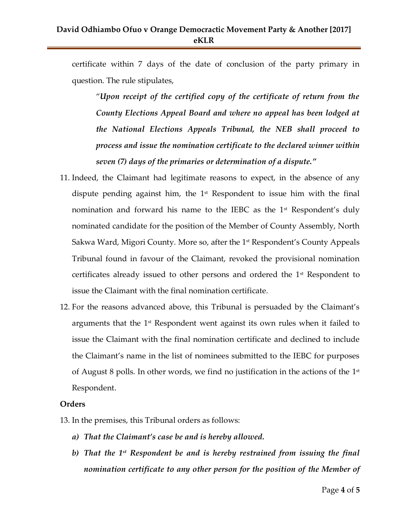## **David Odhiambo Ofuo v Orange Democractic Movement Party & Another [2017] eKLR**

certificate within 7 days of the date of conclusion of the party primary in question. The rule stipulates,

"*Upon receipt of the certified copy of the certificate of return from the County Elections Appeal Board and where no appeal has been lodged at the National Elections Appeals Tribunal, the NEB shall proceed to process and issue the nomination certificate to the declared winner within seven (7) days of the primaries or determination of a dispute."*

- 11. Indeed, the Claimant had legitimate reasons to expect, in the absence of any dispute pending against him, the  $1<sup>st</sup>$  Respondent to issue him with the final nomination and forward his name to the IEBC as the  $1<sup>st</sup>$  Respondent's duly nominated candidate for the position of the Member of County Assembly, North Sakwa Ward, Migori County. More so, after the 1<sup>st</sup> Respondent's County Appeals Tribunal found in favour of the Claimant, revoked the provisional nomination certificates already issued to other persons and ordered the 1st Respondent to issue the Claimant with the final nomination certificate.
- 12. For the reasons advanced above, this Tribunal is persuaded by the Claimant's arguments that the 1st Respondent went against its own rules when it failed to issue the Claimant with the final nomination certificate and declined to include the Claimant's name in the list of nominees submitted to the IEBC for purposes of August 8 polls. In other words, we find no justification in the actions of the  $1^\mathrm{st}$ Respondent.

#### **Orders**

- 13. In the premises, this Tribunal orders as follows:
	- *a) That the Claimant's case be and is hereby allowed.*
	- b) That the 1st Respondent be and is hereby restrained from issuing the final *nomination certificate to any other person for the position of the Member of*